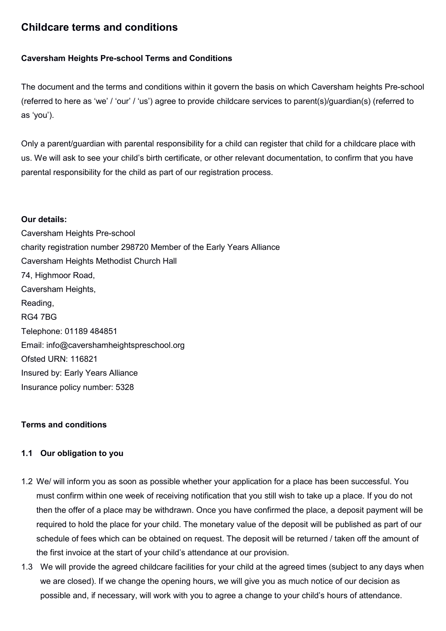# Childcare terms and conditions

## Caversham Heights Pre-school Terms and Conditions

The document and the terms and conditions within it govern the basis on which Caversham heights Pre-school (referred to here as 'we' / 'our' / 'us') agree to provide childcare services to parent(s)/guardian(s) (referred to as 'you').

Only a parent/guardian with parental responsibility for a child can register that child for a childcare place with us. We will ask to see your child's birth certificate, or other relevant documentation, to confirm that you have parental responsibility for the child as part of our registration process.

#### Our details:

Caversham Heights Pre-school charity registration number 298720 Member of the Early Years Alliance Caversham Heights Methodist Church Hall 74, Highmoor Road, Caversham Heights, Reading, RG4 7BG Telephone: 01189 484851 Email: info@cavershamheightspreschool.org Ofsted URN: 116821 Insured by: Early Years Alliance Insurance policy number: 5328

## Terms and conditions

## 1.1 Our obligation to you

- 1.2 We/ will inform you as soon as possible whether your application for a place has been successful. You must confirm within one week of receiving notification that you still wish to take up a place. If you do not then the offer of a place may be withdrawn. Once you have confirmed the place, a deposit payment will be required to hold the place for your child. The monetary value of the deposit will be published as part of our schedule of fees which can be obtained on request. The deposit will be returned / taken off the amount of the first invoice at the start of your child's attendance at our provision.
- 1.3 We will provide the agreed childcare facilities for your child at the agreed times (subject to any days when we are closed). If we change the opening hours, we will give you as much notice of our decision as possible and, if necessary, will work with you to agree a change to your child's hours of attendance.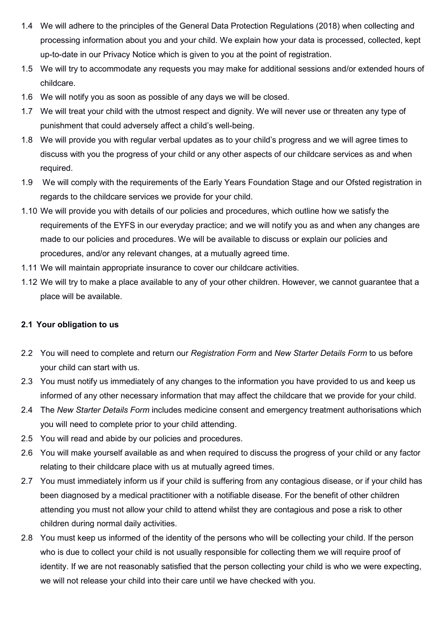- 1.4 We will adhere to the principles of the General Data Protection Regulations (2018) when collecting and processing information about you and your child. We explain how your data is processed, collected, kept up-to-date in our Privacy Notice which is given to you at the point of registration.
- 1.5 We will try to accommodate any requests you may make for additional sessions and/or extended hours of childcare.
- 1.6 We will notify you as soon as possible of any days we will be closed.
- 1.7 We will treat your child with the utmost respect and dignity. We will never use or threaten any type of punishment that could adversely affect a child's well-being.
- 1.8 We will provide you with regular verbal updates as to your child's progress and we will agree times to discuss with you the progress of your child or any other aspects of our childcare services as and when required.
- 1.9 We will comply with the requirements of the Early Years Foundation Stage and our Ofsted registration in regards to the childcare services we provide for your child.
- 1.10 We will provide you with details of our policies and procedures, which outline how we satisfy the requirements of the EYFS in our everyday practice; and we will notify you as and when any changes are made to our policies and procedures. We will be available to discuss or explain our policies and procedures, and/or any relevant changes, at a mutually agreed time.
- 1.11 We will maintain appropriate insurance to cover our childcare activities.
- 1.12 We will try to make a place available to any of your other children. However, we cannot guarantee that a place will be available.

## 2.1 Your obligation to us

- 2.2 You will need to complete and return our Registration Form and New Starter Details Form to us before your child can start with us.
- 2.3 You must notify us immediately of any changes to the information you have provided to us and keep us informed of any other necessary information that may affect the childcare that we provide for your child.
- 2.4 The New Starter Details Form includes medicine consent and emergency treatment authorisations which you will need to complete prior to your child attending.
- 2.5 You will read and abide by our policies and procedures.
- 2.6 You will make yourself available as and when required to discuss the progress of your child or any factor relating to their childcare place with us at mutually agreed times.
- 2.7 You must immediately inform us if your child is suffering from any contagious disease, or if your child has been diagnosed by a medical practitioner with a notifiable disease. For the benefit of other children attending you must not allow your child to attend whilst they are contagious and pose a risk to other children during normal daily activities.
- 2.8 You must keep us informed of the identity of the persons who will be collecting your child. If the person who is due to collect your child is not usually responsible for collecting them we will require proof of identity. If we are not reasonably satisfied that the person collecting your child is who we were expecting, we will not release your child into their care until we have checked with you.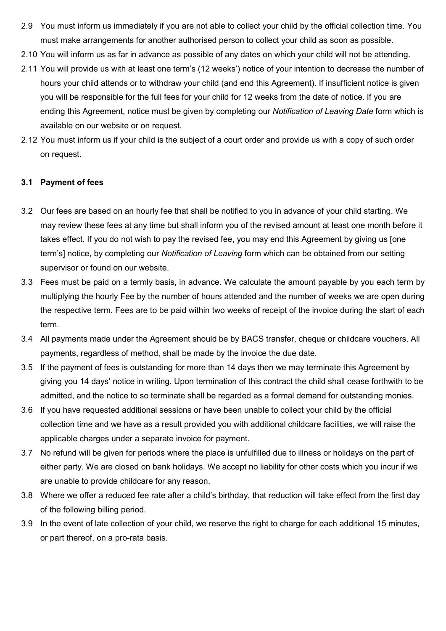- 2.9 You must inform us immediately if you are not able to collect your child by the official collection time. You must make arrangements for another authorised person to collect your child as soon as possible.
- 2.10 You will inform us as far in advance as possible of any dates on which your child will not be attending.
- 2.11 You will provide us with at least one term's (12 weeks') notice of your intention to decrease the number of hours your child attends or to withdraw your child (and end this Agreement). If insufficient notice is given you will be responsible for the full fees for your child for 12 weeks from the date of notice. If you are ending this Agreement, notice must be given by completing our Notification of Leaving Date form which is available on our website or on request.
- 2.12 You must inform us if your child is the subject of a court order and provide us with a copy of such order on request.

## 3.1 Payment of fees

- 3.2 Our fees are based on an hourly fee that shall be notified to you in advance of your child starting. We may review these fees at any time but shall inform you of the revised amount at least one month before it takes effect. If you do not wish to pay the revised fee, you may end this Agreement by giving us [one term's] notice, by completing our Notification of Leaving form which can be obtained from our setting supervisor or found on our website.
- 3.3 Fees must be paid on a termly basis, in advance. We calculate the amount payable by you each term by multiplying the hourly Fee by the number of hours attended and the number of weeks we are open during the respective term. Fees are to be paid within two weeks of receipt of the invoice during the start of each term.
- 3.4 All payments made under the Agreement should be by BACS transfer, cheque or childcare vouchers. All payments, regardless of method, shall be made by the invoice the due date.
- 3.5 If the payment of fees is outstanding for more than 14 days then we may terminate this Agreement by giving you 14 days' notice in writing. Upon termination of this contract the child shall cease forthwith to be admitted, and the notice to so terminate shall be regarded as a formal demand for outstanding monies.
- 3.6 If you have requested additional sessions or have been unable to collect your child by the official collection time and we have as a result provided you with additional childcare facilities, we will raise the applicable charges under a separate invoice for payment.
- 3.7 No refund will be given for periods where the place is unfulfilled due to illness or holidays on the part of either party. We are closed on bank holidays. We accept no liability for other costs which you incur if we are unable to provide childcare for any reason.
- 3.8 Where we offer a reduced fee rate after a child's birthday, that reduction will take effect from the first day of the following billing period.
- 3.9 In the event of late collection of your child, we reserve the right to charge for each additional 15 minutes, or part thereof, on a pro-rata basis.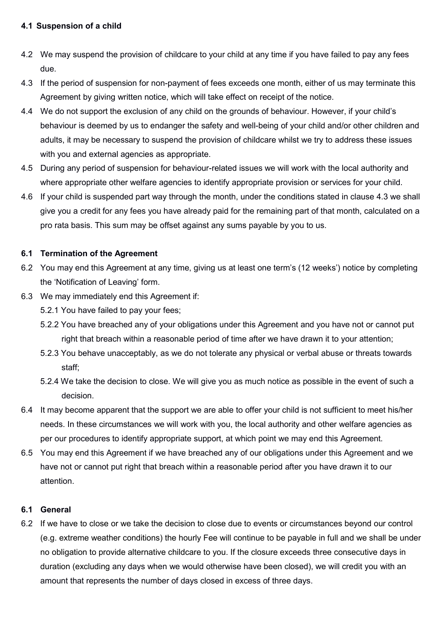## 4.1 Suspension of a child

- 4.2 We may suspend the provision of childcare to your child at any time if you have failed to pay any fees due.
- 4.3 If the period of suspension for non-payment of fees exceeds one month, either of us may terminate this Agreement by giving written notice, which will take effect on receipt of the notice.
- 4.4 We do not support the exclusion of any child on the grounds of behaviour. However, if your child's behaviour is deemed by us to endanger the safety and well-being of your child and/or other children and adults, it may be necessary to suspend the provision of childcare whilst we try to address these issues with you and external agencies as appropriate.
- 4.5 During any period of suspension for behaviour-related issues we will work with the local authority and where appropriate other welfare agencies to identify appropriate provision or services for your child.
- 4.6 If your child is suspended part way through the month, under the conditions stated in clause 4.3 we shall give you a credit for any fees you have already paid for the remaining part of that month, calculated on a pro rata basis. This sum may be offset against any sums payable by you to us.

## 6.1 Termination of the Agreement

- 6.2 You may end this Agreement at any time, giving us at least one term's (12 weeks') notice by completing the 'Notification of Leaving' form.
- 6.3 We may immediately end this Agreement if:
	- 5.2.1 You have failed to pay your fees;
	- 5.2.2 You have breached any of your obligations under this Agreement and you have not or cannot put right that breach within a reasonable period of time after we have drawn it to your attention;
	- 5.2.3 You behave unacceptably, as we do not tolerate any physical or verbal abuse or threats towards staff;
	- 5.2.4 We take the decision to close. We will give you as much notice as possible in the event of such a decision.
- 6.4 It may become apparent that the support we are able to offer your child is not sufficient to meet his/her needs. In these circumstances we will work with you, the local authority and other welfare agencies as per our procedures to identify appropriate support, at which point we may end this Agreement.
- 6.5 You may end this Agreement if we have breached any of our obligations under this Agreement and we have not or cannot put right that breach within a reasonable period after you have drawn it to our attention.

## 6.1 General

6.2 If we have to close or we take the decision to close due to events or circumstances beyond our control (e.g. extreme weather conditions) the hourly Fee will continue to be payable in full and we shall be under no obligation to provide alternative childcare to you. If the closure exceeds three consecutive days in duration (excluding any days when we would otherwise have been closed), we will credit you with an amount that represents the number of days closed in excess of three days.